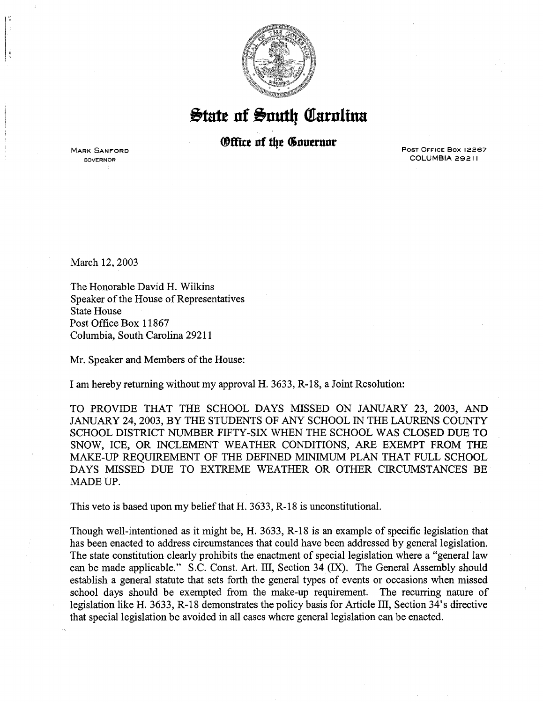

## $\frac{1}{2}$ tate of South Carolina

## *®ffice of the Governor*

MARK SANFORD GOVERNOR

POST OFFICE Box 12267 COLUMBIA 29211

March 12, 2003

The Honorable David H. Wilkins Speaker of the House of Representatives State House Post Office Box 11867 Columbia, South Carolina 29211

Mr. Speaker and Members of the House:

I am hereby returning without my approval H. 3633, R-18, a Joint Resolution:

TO PROVIDE THAT THE SCHOOL DAYS MISSED ON JANUARY 23, 2003, AND JANUARY 24, 2003, BY THE STUDENTS OF ANY SCHOOL IN THE LAURENS COUNTY SCHOOL DISTRICT NUMBER FIFTY-SIX WHEN THE SCHOOL WAS CLOSED DUE TO SNOW, ICE, OR INCLEMENT WEATHER CONDITIONS, ARE EXEMPT FROM THE MAKE-UP REQUIREMENT OF THE DEFINED MINIMUM PLAN THAT FULL SCHOOL DAYS MISSED DUE TO EXTREME WEATHER OR OTHER CIRCUMSTANCES BE MADE UP.

This veto is based upon my belief that H. 3633, R-18 is unconstitutional.

Though well-intentioned as it might be, H. 3633, R-18 is an example of specific legislation that has been enacted to address circumstances that could have been addressed by general legislation. The state constitution clearly prohibits the enactment of special legislation where a "general law can be made applicable." S.C. Const. Art. III, Section 34 (IX). The General Assembly should establish a general statute that sets forth the general types of events or occasions when missed school days should be exempted from the make-up requirement. The recurring nature of legislation like H. 3633, R-18 demonstrates the policy basis for Article III, Section 34's directive that special legislation be avoided in all cases where general legislation can be enacted.